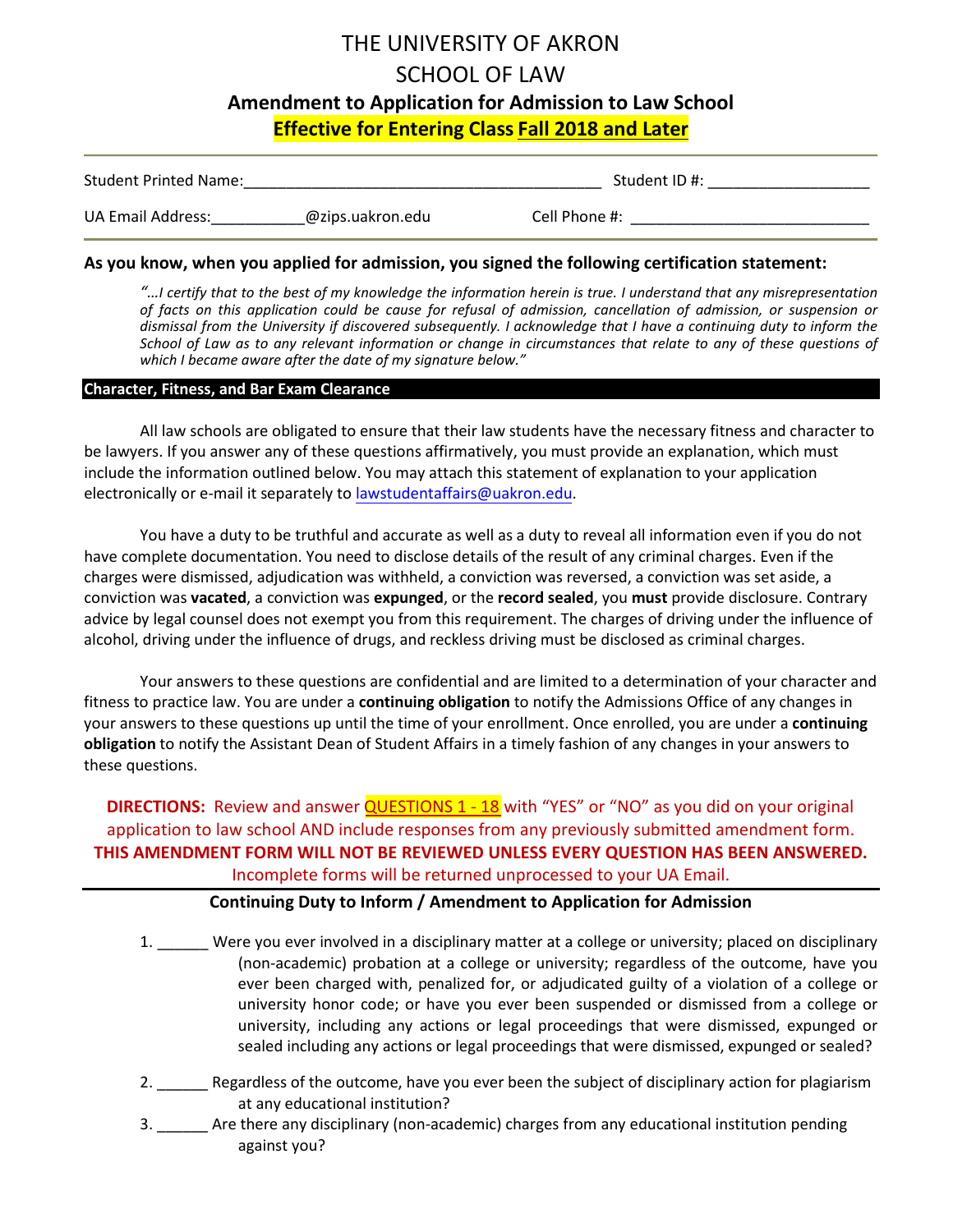# THE UNIVERSITY OF AKRON SCHOOL OF LAW **Amendment to Application for Admission to Law School Effective for Entering Class Fall 2018 and Later**

| <b>Student Printed Name:</b> |                  | Student ID #: |  |
|------------------------------|------------------|---------------|--|
| UA Email Address:            | @zips.uakron.edu | Cell Phone #: |  |

### **As you know, when you applied for admission, you signed the following certification statement:**

*"…I certify that to the best of my knowledge the information herein is true. I understand that any misrepresentation of facts on this application could be cause for refusal of admission, cancellation of admission, or suspension or dismissal from the University if discovered subsequently. I acknowledge that I have a continuing duty to inform the School of Law as to any relevant information or change in circumstances that relate to any of these questions of which I became aware after the date of my signature below."*

### **Character, Fitness, and Bar Exam Clearance**

All law schools are obligated to ensure that their law students have the necessary fitness and character to be lawyers. If you answer any of these questions affirmatively, you must provide an explanation, which must include the information outlined below. You may attach this statement of explanation to your application electronically or e-mail it separately to lawstudentaffairs@uakron.edu.

You have a duty to be truthful and accurate as well as a duty to reveal all information even if you do not have complete documentation. You need to disclose details of the result of any criminal charges. Even if the charges were dismissed, adjudication was withheld, a conviction was reversed, a conviction was set aside, a conviction was **vacated**, a conviction was **expunged**, or the **record sealed**, you **must** provide disclosure. Contrary advice by legal counsel does not exempt you from this requirement. The charges of driving under the influence of alcohol, driving under the influence of drugs, and reckless driving must be disclosed as criminal charges.

Your answers to these questions are confidential and are limited to a determination of your character and fitness to practice law. You are under a **continuing obligation** to notify the Admissions Office of any changes in your answers to these questions up until the time of your enrollment. Once enrolled, you are under a **continuing obligation** to notify the Assistant Dean of Student Affairs in a timely fashion of any changes in your answers to these questions.

**DIRECTIONS:** Review and answer QUESTIONS 1 - 18 with "YES" or "NO" as you did on your original application to law school AND include responses from any previously submitted amendment form. **THIS AMENDMENT FORM WILL NOT BE REVIEWED UNLESS EVERY QUESTION HAS BEEN ANSWERED.** Incomplete forms will be returned unprocessed to your UA Email.

## **Continuing Duty to Inform / Amendment to Application for Admission**

- 1. Were you ever involved in a disciplinary matter at a college or university; placed on disciplinary (non-academic) probation at a college or university; regardless of the outcome, have you ever been charged with, penalized for, or adjudicated guilty of a violation of a college or university honor code; or have you ever been suspended or dismissed from a college or university, including any actions or legal proceedings that were dismissed, expunged or sealed including any actions or legal proceedings that were dismissed, expunged or sealed?
- 2. \_\_\_\_\_\_\_ Regardless of the outcome, have you ever been the subject of disciplinary action for plagiarism at any educational institution?
- 3. \_\_\_\_\_\_ Are there any disciplinary (non-academic) charges from any educational institution pending against you?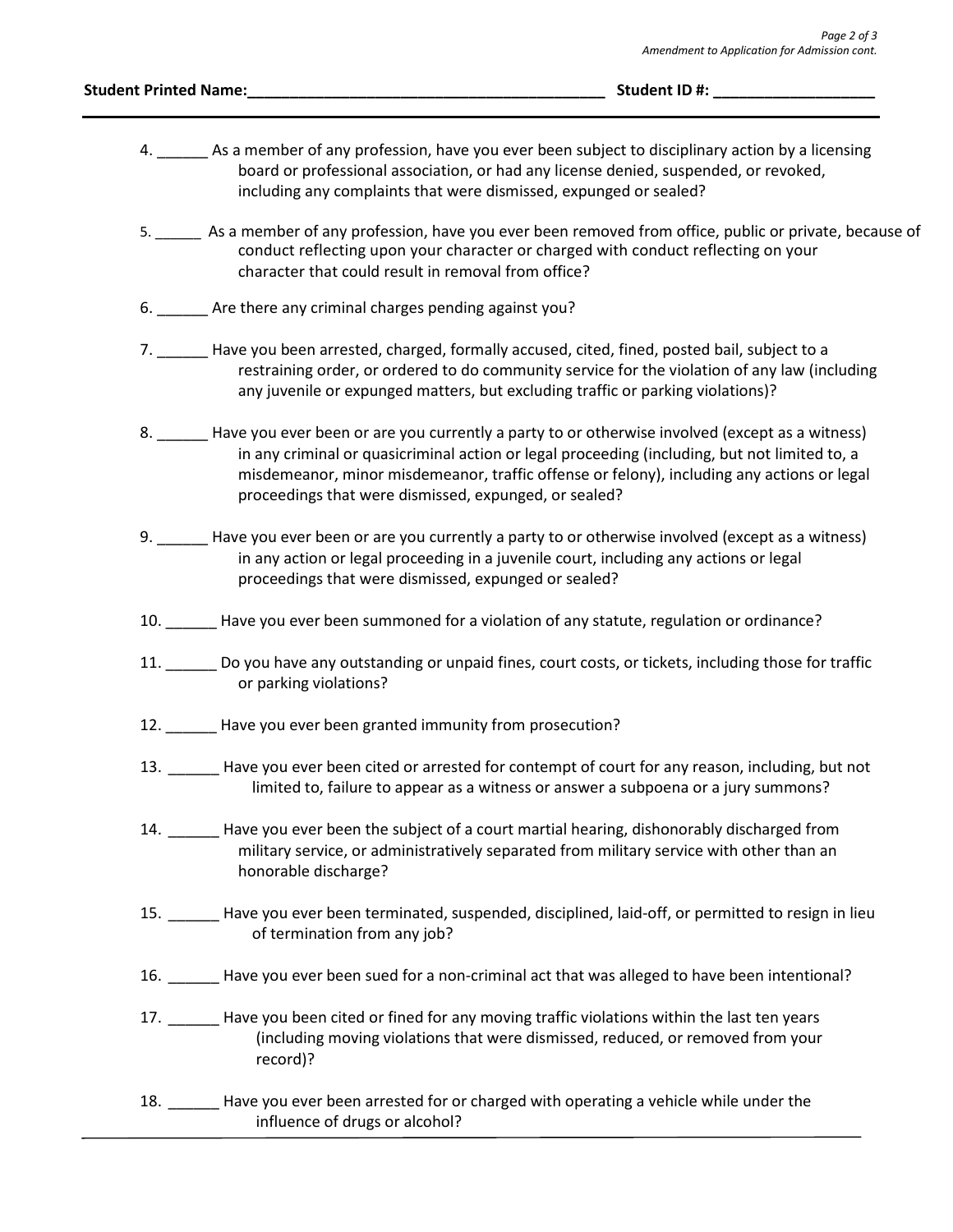#### **Student Printed Name:**  $\bullet$  **and**  $\bullet$  **and**  $\bullet$  **and**  $\bullet$  **and**  $\bullet$  **and**  $\bullet$  **and**  $\bullet$  **and**  $\bullet$  **and**  $\bullet$  **and**  $\bullet$  **and**  $\bullet$  **and**  $\bullet$  **and**  $\bullet$  **and**  $\bullet$  **and**  $\bullet$  **and**  $\bullet$  **and**  $\bullet$  **and**  $\bullet$  **and**  $\bullet$  **and**  $\bullet$  **and**  $\bullet$  **and**  $\bullet$  **and**

- 4. \_\_\_\_\_\_ As a member of any profession, have you ever been subject to disciplinary action by a licensing board or professional association, or had any license denied, suspended, or revoked, including any complaints that were dismissed, expunged or sealed?
- 5. \_\_\_\_\_\_ As a member of any profession, have you ever been removed from office, public or private, because of conduct reflecting upon your character or charged with conduct reflecting on your character that could result in removal from office?
- 6. Are there any criminal charges pending against you?
- 7. \_\_\_\_\_\_ Have you been arrested, charged, formally accused, cited, fined, posted bail, subject to a restraining order, or ordered to do community service for the violation of any law (including any juvenile or expunged matters, but excluding traffic or parking violations)?
- 8. \_\_\_\_\_\_ Have you ever been or are you currently a party to or otherwise involved (except as a witness) in any criminal or quasicriminal action or legal proceeding (including, but not limited to, a misdemeanor, minor misdemeanor, traffic offense or felony), including any actions or legal proceedings that were dismissed, expunged, or sealed?
- 9. \_\_\_\_\_\_ Have you ever been or are you currently a party to or otherwise involved (except as a witness) in any action or legal proceeding in a juvenile court, including any actions or legal proceedings that were dismissed, expunged or sealed?
- 10. \_\_\_\_\_\_ Have you ever been summoned for a violation of any statute, regulation or ordinance?
- 11. \_\_\_\_\_\_ Do you have any outstanding or unpaid fines, court costs, or tickets, including those for traffic or parking violations?
- 12. \_\_\_\_\_\_ Have you ever been granted immunity from prosecution?
- 13. \_\_\_\_\_\_ Have you ever been cited or arrested for contempt of court for any reason, including, but not limited to, failure to appear as a witness or answer a subpoena or a jury summons?
- 14. \_\_\_\_\_\_ Have you ever been the subject of a court martial hearing, dishonorably discharged from military service, or administratively separated from military service with other than an honorable discharge?
- 15. \_\_\_\_\_\_ Have you ever been terminated, suspended, disciplined, laid-off, or permitted to resign in lieu of termination from any job?
- 16. \_\_\_\_\_\_ Have you ever been sued for a non-criminal act that was alleged to have been intentional?
- 17. \_\_\_\_\_\_ Have you been cited or fined for any moving traffic violations within the last ten years (including moving violations that were dismissed, reduced, or removed from your record)?
- 18. Have you ever been arrested for or charged with operating a vehicle while under the influence of drugs or alcohol?